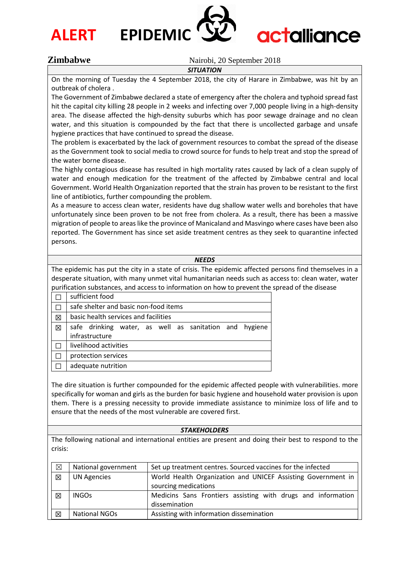



# **actalliance**

### **Zimbabwe** Nairobi, 20 September 2018

*SITUATION*

On the morning of Tuesday the 4 September 2018, the city of Harare in Zimbabwe, was hit by an outbreak of cholera .

The Government of Zimbabwe declared a state of emergency after the cholera and typhoid spread fast hit the capital city killing 28 people in 2 weeks and infecting over 7,000 people living in a high-density area. The disease affected the high-density suburbs which has poor sewage drainage and no clean water, and this situation is compounded by the fact that there is uncollected garbage and unsafe hygiene practices that have continued to spread the disease.

The problem is exacerbated by the lack of government resources to combat the spread of the disease as the Government took to social media to crowd source for funds to help treat and stop the spread of the water borne disease.

The highly contagious disease has resulted in high mortality rates caused by lack of a clean supply of water and enough medication for the treatment of the affected by Zimbabwe central and local Government. World Health Organization reported that the strain has proven to be resistant to the first line of antibiotics, further compounding the problem.

As a measure to access clean water, residents have dug shallow water wells and boreholes that have unfortunately since been proven to be not free from cholera. As a result, there has been a massive migration of people to areas like the province of Manicaland and Masvingo where cases have been also reported. The Government has since set aside treatment centres as they seek to quarantine infected persons.

#### *NEEDS*

The epidemic has put the city in a state of crisis. The epidemic affected persons find themselves in a desperate situation, with many unmet vital humanitarian needs such as access to: clean water, water purification substances, and access to information on how to prevent the spread of the disease

|   | sufficient food                                        |  |  |  |
|---|--------------------------------------------------------|--|--|--|
|   | safe shelter and basic non-food items                  |  |  |  |
| 冈 | basic health services and facilities                   |  |  |  |
| ⊠ | safe drinking water, as well as sanitation and hygiene |  |  |  |
|   | infrastructure                                         |  |  |  |
|   | livelihood activities                                  |  |  |  |
|   | protection services                                    |  |  |  |
|   | adequate nutrition                                     |  |  |  |

The dire situation is further compounded for the epidemic affected people with vulnerabilities. more specifically for woman and girls as the burden for basic hygiene and household water provision is upon them. There is a pressing necessity to provide immediate assistance to minimize loss of life and to ensure that the needs of the most vulnerable are covered first.

#### *STAKEHOLDERS*

The following national and international entities are present and doing their best to respond to the crisis:

| $\boxtimes$ | National government | Set up treatment centres. Sourced vaccines for the infected  |
|-------------|---------------------|--------------------------------------------------------------|
| $\boxtimes$ | <b>UN Agencies</b>  | World Health Organization and UNICEF Assisting Government in |
|             |                     | sourcing medications                                         |
| 区           | <b>INGOs</b>        | Medicins Sans Frontiers assisting with drugs and information |
|             |                     | dissemination                                                |
| $\boxtimes$ | National NGOs       | Assisting with information dissemination                     |